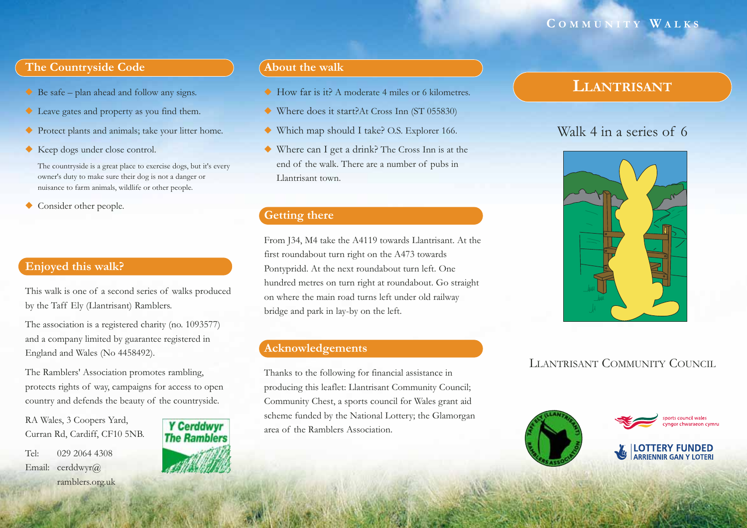### **C OMMUNITY W ALKS**

### **The Countryside Code**

- ◆ Be safe plan ahead and follow any signs.
- ◆ Leave gates and property as you find them.
- ◆ Protect plants and animals; take your litter home.
- ◆ Keep dogs under close control.

The countryside is a great place to exercise dogs, but it's every owner's duty to make sure their dog is not a danger or nuisance to farm animals, wildlife or other people.

◆Consider other people.

### **Enjoyed this walk?**

This walk is one of a second series of walks produced by the Taff Ely (Llantrisant) Ramblers.

The association is a registered charity (no. 1093577) and a company limited by guarantee registered in England and Wales (No 4458492).

The Ramblers' Association promotes rambling, protects rights of way, campaigns for access to open country and defends the beauty of the countryside.

RA Wales, 3 Coopers Yard, Curran Rd, Cardiff, CF10 5NB.

Tel: 029 2064 4308Email: cerddwyr@ ramblers.org.uk



### **About the walk**

- ◆ How far is it? A moderate 4 miles or 6 kilometres.
- ◆ Where does it start?At Cross Inn (ST 055830)
- ◆ Which map should I take? O.S. Explorer 166.
- ◆ Where can I get a drink? The Cross Inn is at the end of the walk. There are a number of pubs in Llantrisant town.

### **Getting there**

From J34, M4 take the A4119 towards Llantrisant. At the first roundabout turn right on the A473 towards Pontypridd. At the next roundabout turn left. One hundred metres on turn right at roundabout. Go straight on where the main road turns left under old railway bridge and park in lay-by on the left.

### **Acknowledgements**

Thanks to the following for financial assistance in producing this leaflet: Llantrisant Community Council; Community Chest, a sports council for Wales grant aid scheme funded by the National Lottery; the Glamorgan area of the Ramblers Association.

# **LLANTRISANT**

# Walk 4 in a series of 6



### LLANTRISANT COMMUNITY COUNCIL